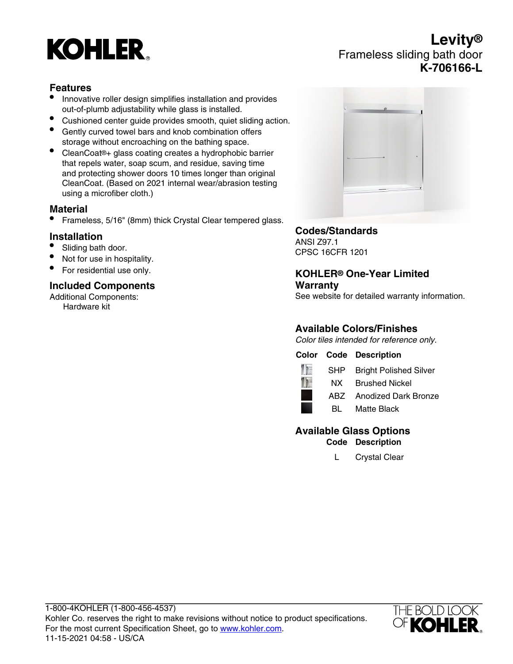# **KOHLER**

# **Levity®** Frameless sliding bath door **K-706166-L**

### **Features**

- Innovative roller design simplifies installation and provides out-of-plumb adjustability while glass is installed.
- Cushioned center guide provides smooth, quiet sliding action.
- Gently curved towel bars and knob combination offers storage without encroaching on the bathing space.
- CleanCoat®+ glass coating creates a hydrophobic barrier that repels water, soap scum, and residue, saving time and protecting shower doors 10 times longer than original CleanCoat. (Based on 2021 internal wear/abrasion testing using a microfiber cloth.)

#### **Material**

• Frameless, 5/16" (8mm) thick Crystal Clear tempered glass.

#### **Installation**

- Sliding bath door.
- Not for use in hospitality.
- For residential use only.

### **Included Components**

Additional Components: Hardware kit



# **Codes/Standards**

ANSI Z97.1 CPSC 16CFR 1201

#### **KOHLER® One-Year Limited Warranty**

See website for detailed warranty information.

## **Available Colors/Finishes**

Color tiles intended for reference only.

## **Color Code Description**



SHP Bright Polished Silver

NX Brushed Nickel

ABZ Anodized Dark Bronze

BL Matte Black

# **Available Glass Options**

**Code Description**

L Crystal Clear